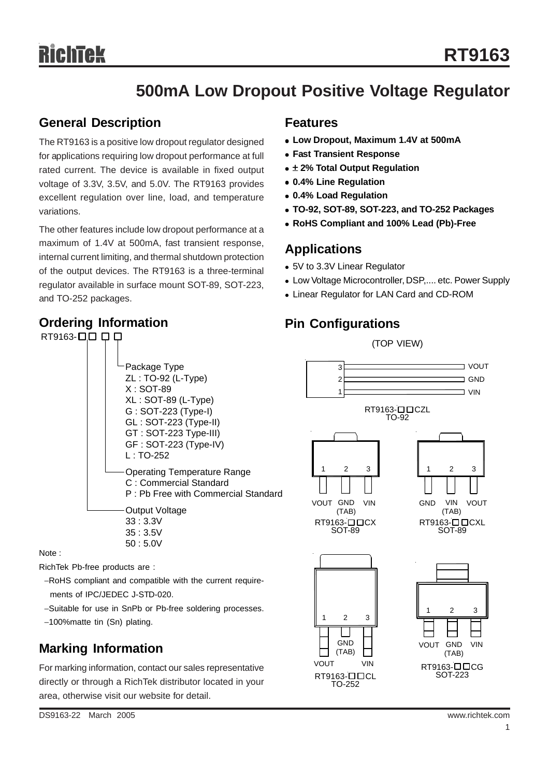# **500mA Low Dropout Positive Voltage Regulator**

### **General Description**

The RT9163 is a positive low dropout regulator designed for applications requiring low dropout performance at full rated current. The device is available in fixed output voltage of 3.3V, 3.5V, and 5.0V. The RT9163 provides excellent regulation over line, load, and temperature variations.

The other features include low dropout performance at a maximum of 1.4V at 500mA, fast transient response, internal current limiting, and thermal shutdown protection of the output devices. The RT9163 is a three-terminal regulator available in surface mount SOT-89, SOT-223, and TO-252 packages.

### **Ordering Information**

### $RT9163 -  $\square$   $\square$   $\square$   $\square$$ Package Type ZL : TO-92 (L-Type) X : SOT-89 XL : SOT-89 (L-Type) G : SOT-223 (Type-I) GL : SOT-223 (Type-II) GT : SOT-223 Type-III) GF : SOT-223 (Type-IV) L : TO-252 Operating Temperature Range C : Commercial Standard P : Pb Free with Commercial Standard Output Voltage 33 : 3.3V 35 : 3.5V 50 : 5.0V

Note :

RichTek Pb-free products are :

- −RoHS compliant and compatible with the current require ments of IPC/JEDEC J-STD-020.
- −Suitable for use in SnPb or Pb-free soldering processes.
- −100%matte tin (Sn) plating.

## **Marking Information**

For marking information, contact our sales representative directly or through a RichTek distributor located in your area, otherwise visit our website for detail.

### **Features**

- <sup>z</sup> **Low Dropout, Maximum 1.4V at 500mA**
- **Fast Transient Response**
- **± 2% Total Output Regulation**
- <sup>z</sup> **0.4% Line Regulation**
- <sup>z</sup> **0.4% Load Regulation**
- <sup>z</sup> **TO-92, SOT-89, SOT-223, and TO-252 Packages**
- <sup>z</sup> **RoHS Compliant and 100% Lead (Pb)-Free**

### **Applications**

- 5V to 3.3V Linear Regulator
- Low Voltage Microcontroller, DSP,.... etc. Power Supply
- Linear Regulator for LAN Card and CD-ROM

### **Pin Configurations**

(TOP VIEW)

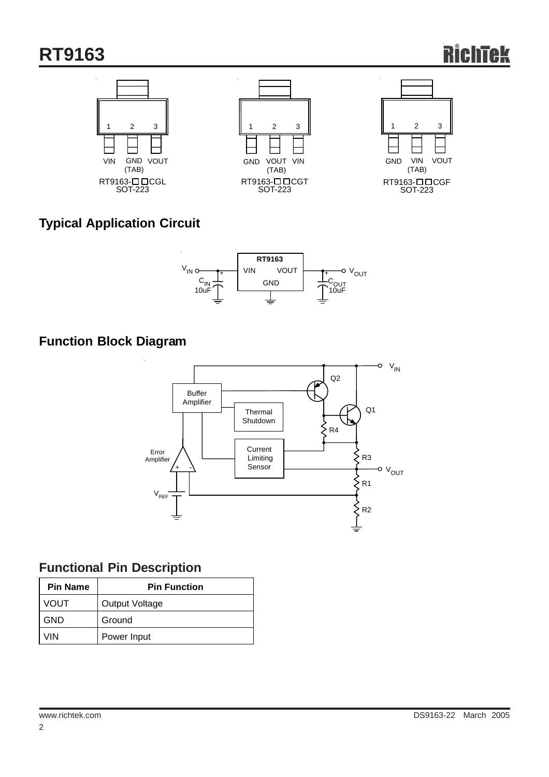# **RT9163**



## **Typical Application Circuit**



### **Function Block Diagram**



## **Functional Pin Description**

| <b>Pin Name</b> | <b>Pin Function</b>   |
|-----------------|-----------------------|
| <b>VOUT</b>     | <b>Output Voltage</b> |
| GND             | Ground                |
| /IN             | Power Input           |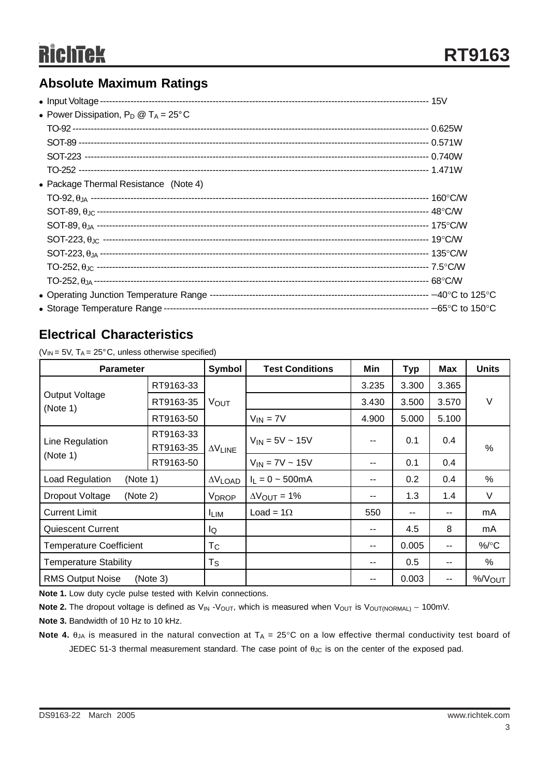## **Absolute Maximum Ratings**

| • Power Dissipation, $P_D @ T_A = 25^{\circ}C$ |  |
|------------------------------------------------|--|
|                                                |  |
|                                                |  |
|                                                |  |
|                                                |  |
| • Package Thermal Resistance (Note 4)          |  |
|                                                |  |
|                                                |  |
|                                                |  |
|                                                |  |
|                                                |  |
|                                                |  |
|                                                |  |
|                                                |  |
|                                                |  |
|                                                |  |

### **Electrical Characteristics**

( $V_{IN}$  = 5V, T<sub>A</sub> = 25°C, unless otherwise specified)

| <b>Parameter</b>                    |                        | Symbol                   | <b>Test Conditions</b>       | Min   | <b>Typ</b> | Max   | <b>Units</b>       |
|-------------------------------------|------------------------|--------------------------|------------------------------|-------|------------|-------|--------------------|
|                                     | RT9163-33              | <b>VOUT</b>              |                              | 3.235 | 3.300      | 3.365 | V                  |
| Output Voltage<br>(Note 1)          | RT9163-35              |                          |                              | 3.430 | 3.500      | 3.570 |                    |
|                                     | RT9163-50              |                          | $V_{IN} = 7V$                | 4.900 | 5.000      | 5.100 |                    |
| Line Regulation                     | RT9163-33<br>RT9163-35 | $\Delta V$ LINE          | $V_{IN} = 5V - 15V$          | $- -$ | 0.1        | 0.4   | $\%$               |
| (Note 1)                            | RT9163-50              |                          | $V_{IN} = 7V \sim 15V$       | $- -$ | 0.1        | 0.4   |                    |
| Load Regulation<br>(Note 1)         |                        | $\Delta V_{\text{LOAD}}$ | $I_1 = 0 \sim 500 \text{mA}$ | --    | 0.2        | 0.4   | %                  |
| Dropout Voltage<br>(Note 2)         |                        | V <sub>DROP</sub>        | $\Delta V_{OUT} = 1\%$       | $- -$ | 1.3        | 1.4   | V                  |
| <b>Current Limit</b>                |                        | <b>ILIM</b>              | Load = $1\Omega$             | 550   | --         | $- -$ | mA                 |
| <b>Quiescent Current</b>            |                        | lQ                       |                              |       | 4.5        | 8     | mA                 |
| <b>Temperature Coefficient</b>      |                        | $T_{\rm C}$              |                              | $- -$ | 0.005      | --    | %/°C               |
| <b>Temperature Stability</b>        |                        | $T_S$                    |                              |       | 0.5        | $- -$ | %                  |
| <b>RMS Output Noise</b><br>(Note 3) |                        |                          |                              |       | 0.003      |       | %/V <sub>OUT</sub> |

**Note 1.** Low duty cycle pulse tested with Kelvin connections.

Note 2. The dropout voltage is defined as V<sub>IN</sub> -V<sub>OUT</sub>, which is measured when V<sub>OUT</sub> is V<sub>OUT(NORMAL)</sub> – 100mV.

**Note 3.** Bandwidth of 10 Hz to 10 kHz.

**Note 4.**  $\theta_{JA}$  is measured in the natural convection at  $T_A = 25^\circ \text{C}$  on a low effective thermal conductivity test board of JEDEC 51-3 thermal measurement standard. The case point of  $\theta_{JC}$  is on the center of the exposed pad.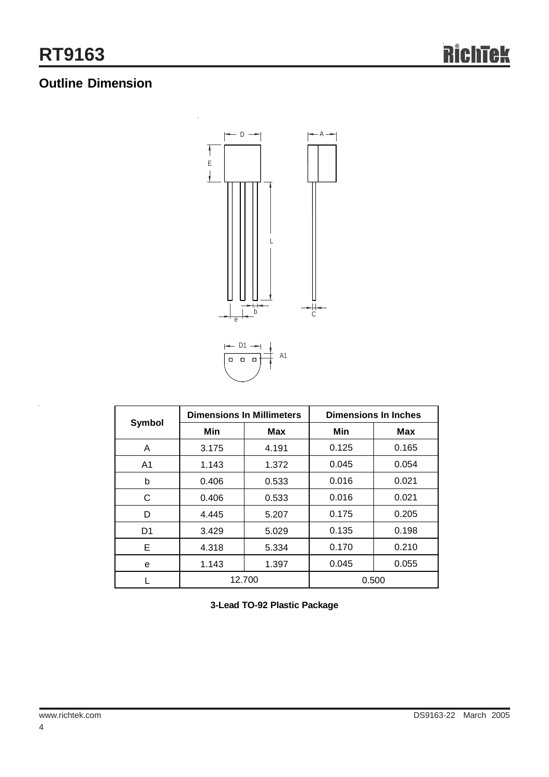## **Outline Dimension**



| Symbol         | <b>Dimensions In Millimeters</b> |            | <b>Dimensions In Inches</b> |       |  |
|----------------|----------------------------------|------------|-----------------------------|-------|--|
|                | Min                              | <b>Max</b> | Min                         | Max   |  |
| A              | 3.175                            | 4.191      | 0.125                       | 0.165 |  |
| A <sub>1</sub> | 1.143                            | 1.372      | 0.045                       | 0.054 |  |
| b              | 0.406                            | 0.533      | 0.016                       | 0.021 |  |
| C              | 0.406                            | 0.533      | 0.016                       | 0.021 |  |
| D              | 4.445                            | 5.207      | 0.175                       | 0.205 |  |
| D <sub>1</sub> | 3.429                            | 5.029      | 0.135                       | 0.198 |  |
| Е              | 4.318                            | 5.334      | 0.170                       | 0.210 |  |
| e              | 1.143                            | 1.397      | 0.045                       | 0.055 |  |
|                | 12.700                           |            | 0.500                       |       |  |

**3-Lead TO-92 Plastic Package**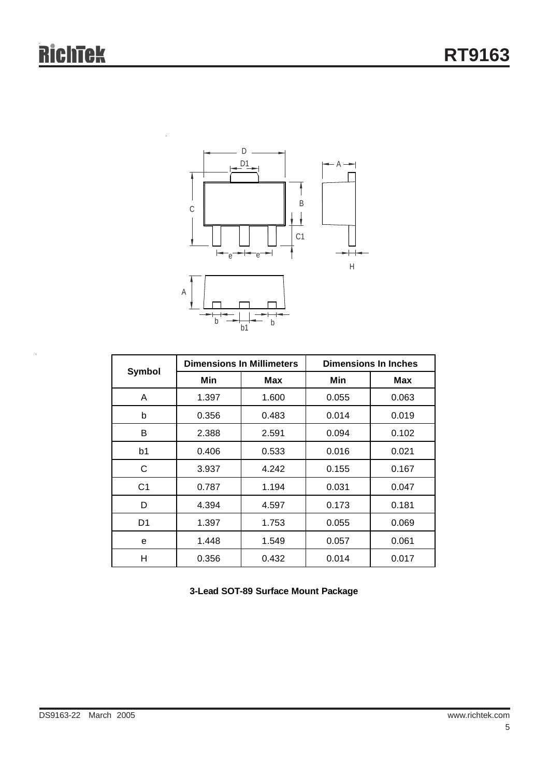

| <b>Symbol</b>  |       | <b>Dimensions In Millimeters</b> | <b>Dimensions In Inches</b> |       |  |
|----------------|-------|----------------------------------|-----------------------------|-------|--|
|                | Min   | Max                              | Min                         | Max   |  |
| A              | 1.397 | 1.600                            | 0.055                       | 0.063 |  |
| b              | 0.356 | 0.483                            | 0.014                       | 0.019 |  |
| B              | 2.388 | 2.591                            | 0.094                       | 0.102 |  |
| b1             | 0.406 | 0.533                            | 0.016                       | 0.021 |  |
| C              | 3.937 | 4.242                            | 0.155                       | 0.167 |  |
| C <sub>1</sub> | 0.787 | 1.194                            | 0.031                       | 0.047 |  |
| D              | 4.394 | 4.597                            | 0.173                       | 0.181 |  |
| D <sub>1</sub> | 1.397 | 1.753                            | 0.055                       | 0.069 |  |
| e              | 1.448 | 1.549                            | 0.057                       | 0.061 |  |
| Н              | 0.356 | 0.432                            | 0.014                       | 0.017 |  |

**3-Lead SOT-89 Surface Mount Package**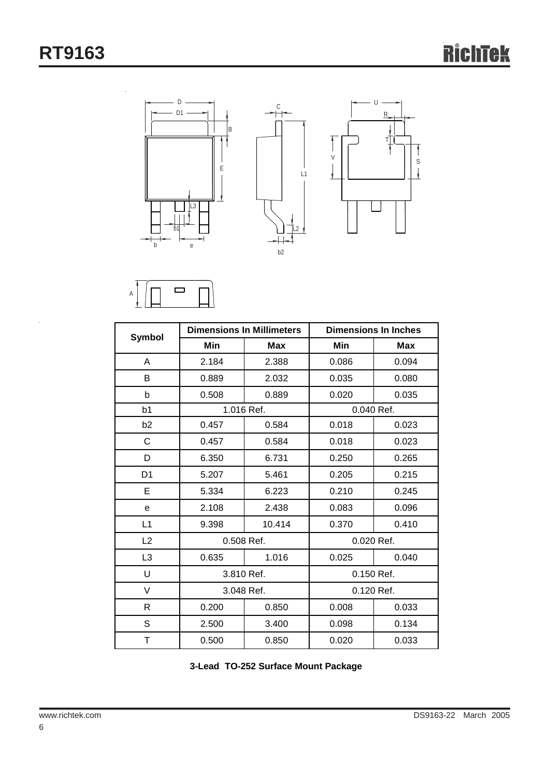



| <b>Symbol</b>  |            | <b>Dimensions In Millimeters</b> | <b>Dimensions In Inches</b> |            |  |
|----------------|------------|----------------------------------|-----------------------------|------------|--|
|                | Min        | <b>Max</b>                       | Min                         | <b>Max</b> |  |
| A              | 2.184      | 2.388                            | 0.086                       | 0.094      |  |
| B              | 0.889      | 2.032                            | 0.035                       | 0.080      |  |
| b              | 0.508      | 0.889                            | 0.020                       | 0.035      |  |
| b <sub>1</sub> |            | 1.016 Ref.                       | $0.040$ Ref.                |            |  |
| b2             | 0.457      | 0.584                            | 0.018                       | 0.023      |  |
| $\mathsf C$    | 0.457      | 0.584                            | 0.018                       | 0.023      |  |
| D              | 6.350      | 6.731                            | 0.250                       | 0.265      |  |
| D <sub>1</sub> | 5.207      | 5.461                            | 0.205                       | 0.215      |  |
| E              | 5.334      | 6.223                            | 0.210                       | 0.245      |  |
| e              | 2.108      | 2.438                            | 0.083                       | 0.096      |  |
| L1             | 9.398      | 10.414                           | 0.370                       | 0.410      |  |
| L2             | 0.508 Ref. |                                  | 0.020 Ref.                  |            |  |
| L <sub>3</sub> | 0.635      | 1.016                            | 0.025                       | 0.040      |  |
| U              | 3.810 Ref. |                                  | 0.150 Ref.                  |            |  |
| V              | 3.048 Ref. |                                  | 0.120 Ref.                  |            |  |
| $\mathsf{R}$   | 0.200      | 0.850                            | 0.008                       | 0.033      |  |
| $\mathsf S$    | 2.500      | 3.400                            | 0.098                       | 0.134      |  |
| Τ              | 0.500      | 0.850                            | 0.020                       | 0.033      |  |

**3-Lead TO-252 Surface Mount Package**